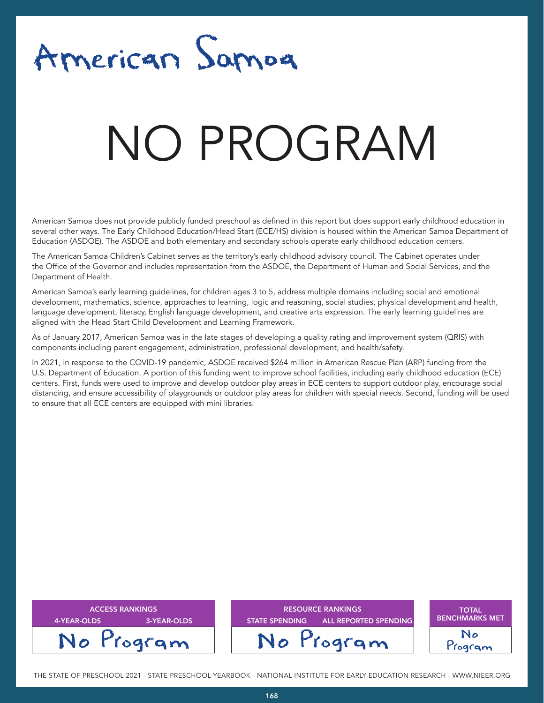

# NATA T NO PROGRAM

American Samoa does not provide publicly funded preschool as defined in this report but does support early childhood education in several other ways. The Early Childhood Education/Head Start (ECE/HS) division is housed within the American Samoa Department of Education (ASDOE). The ASDOE and both elementary and secondary schools operate early childhood education centers.

The American Samoa Children's Cabinet serves as the territory's early childhood advisory council. The Cabinet operates under the Office of the Governor and includes representation from the ASDOE, the Department of Human and Social Services, and the Department of Health.

American Samoa's early learning guidelines, for children ages 3 to 5, address multiple domains including social and emotional development, mathematics, science, approaches to learning, logic and reasoning, social studies, physical development and health, language development, literacy, English language development, and creative arts expression. The early learning guidelines are aligned with the Head Start Child Development and Learning Framework.

As of January 2017, American Samoa was in the late stages of developing a quality rating and improvement system (QRIS) with components including parent engagement, administration, professional development, and health/safety.

In 2021, in response to the COVID-19 pandemic, ASDOE received \$264 million in American Rescue Plan (ARP) funding from the U.S. Department of Education. A portion of this funding went to improve school facilities, including early childhood education (ECE) centers. First, funds were used to improve and develop outdoor play areas in ECE centers to support outdoor play, encourage social distancing, and ensure accessibility of playgrounds or outdoor play areas for children with special needs. Second, funding will be used to ensure that all ECE centers are equipped with mini libraries.

| <b>ACCESS RANKINGS</b><br>3-YEAR-OLDS<br>4-YEAR-OLDS | <b>RESOURCE RANKINGS</b><br><b>STATE SPENDING</b><br>ALL REPORTED SPENDING | <b>TOTAL</b><br><b>BENCHMARKS MET</b> |
|------------------------------------------------------|----------------------------------------------------------------------------|---------------------------------------|
| No Program                                           | No Program                                                                 | No<br>rogram                          |

THE STATE OF PRESCHOOL 2021 - STATE PRESCHOOL YEARBOOK - NATIONAL INSTITUTE FOR EARLY EDUCATION RESEARCH - WWW.NIEER.ORG